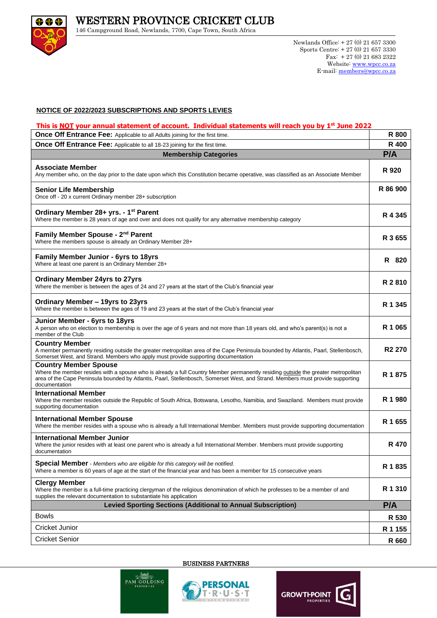

146 Campground Road, Newlands, 7700, Cape Town, South Africa

## **NOTICE OF 2022 /2023 SUBSCRIPTIONS AND SPORTS LEVIES**

## **This is NOT your annual statement of account. Individual statements will reach you by 1 st June 2022**

| Once Off Entrance Fee: Applicable to all Adults joining for the first time.                                                                                                                                                                                                                                           | R 800              |
|-----------------------------------------------------------------------------------------------------------------------------------------------------------------------------------------------------------------------------------------------------------------------------------------------------------------------|--------------------|
| Once Off Entrance Fee: Applicable to all 18-23 joining for the first time.                                                                                                                                                                                                                                            | R 400              |
| P/A<br><b>Membership Categories</b>                                                                                                                                                                                                                                                                                   |                    |
| <b>Associate Member</b><br>Any member who, on the day prior to the date upon which this Constitution became operative, was classified as an Associate Member                                                                                                                                                          | R 920              |
| <b>Senior Life Membership</b><br>Once off - 20 x current Ordinary member 28+ subscription                                                                                                                                                                                                                             | R 86 900           |
| Ordinary Member 28+ yrs. - 1 <sup>st</sup> Parent<br>Where the member is 28 years of age and over and does not qualify for any alternative membership category                                                                                                                                                        | R 4 3 4 5          |
| Family Member Spouse - 2 <sup>nd</sup> Parent<br>Where the members spouse is already an Ordinary Member 28+                                                                                                                                                                                                           | R 3 655            |
| <b>Family Member Junior - 6yrs to 18yrs</b><br>Where at least one parent is an Ordinary Member 28+                                                                                                                                                                                                                    | R 820              |
| <b>Ordinary Member 24yrs to 27yrs</b><br>Where the member is between the ages of 24 and 27 years at the start of the Club's financial year                                                                                                                                                                            | R 2 810            |
| Ordinary Member - 19yrs to 23yrs<br>Where the member is between the ages of 19 and 23 years at the start of the Club's financial year                                                                                                                                                                                 | R 1 345            |
| Junior Member - 6yrs to 18yrs<br>A person who on election to membership is over the age of 6 years and not more than 18 years old, and who's parent(s) is not a<br>member of the Club                                                                                                                                 | R 1 065            |
| <b>Country Member</b><br>A member permanently residing outside the greater metropolitan area of the Cape Peninsula bounded by Atlantis, Paarl, Stellenbosch,<br>Somerset West, and Strand. Members who apply must provide supporting documentation                                                                    | R <sub>2</sub> 270 |
| <b>Country Member Spouse</b><br>Where the member resides with a spouse who is already a full Country Member permanently residing outside the greater metropolitan<br>area of the Cape Peninsula bounded by Atlantis, Paarl, Stellenbosch, Somerset West, and Strand. Members must provide supporting<br>documentation | R 1875             |
| International Member<br>Where the member resides outside the Republic of South Africa, Botswana, Lesotho, Namibia, and Swaziland. Members must provide<br>supporting documentation                                                                                                                                    | R 1 980            |
| <b>International Member Spouse</b><br>Where the member resides with a spouse who is already a full International Member. Members must provide supporting documentation                                                                                                                                                | R 1 655            |
| <b>International Member Junior</b><br>Where the junior resides with at least one parent who is already a full International Member. Members must provide supporting<br>documentation                                                                                                                                  | R 470              |
| Special Member - Members who are eligible for this category will be notified.<br>Where a member is 60 years of age at the start of the financial year and has been a member for 15 consecutive years                                                                                                                  | R 1 835            |
| <b>Clergy Member</b><br>Where the member is a full-time practicing clergyman of the religious denomination of which he professes to be a member of and<br>supplies the relevant documentation to substantiate his application                                                                                         | R 1 310            |
| <b>Levied Sporting Sections (Additional to Annual Subscription)</b>                                                                                                                                                                                                                                                   | P/A                |
| <b>Bowls</b>                                                                                                                                                                                                                                                                                                          | R 530              |
| Cricket Junior                                                                                                                                                                                                                                                                                                        | R 1 155            |
| <b>Cricket Senior</b>                                                                                                                                                                                                                                                                                                 | R 660              |

BUSINESS PARTNERS